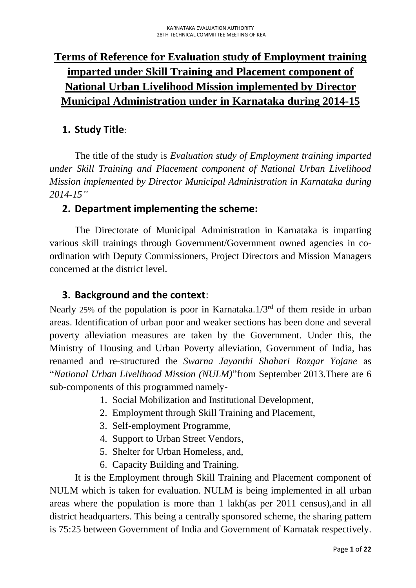# **Terms of Reference for Evaluation study of Employment training imparted under Skill Training and Placement component of National Urban Livelihood Mission implemented by Director Municipal Administration under in Karnataka during 2014-15**

# **1. Study Title**:

The title of the study is *Evaluation study of Employment training imparted under Skill Training and Placement component of National Urban Livelihood Mission implemented by Director Municipal Administration in Karnataka during 2014-15"*

## **2. Department implementing the scheme:**

The Directorate of Municipal Administration in Karnataka is imparting various skill trainings through Government/Government owned agencies in coordination with Deputy Commissioners, Project Directors and Mission Managers concerned at the district level.

## **3. Background and the context**:

Nearly 25% of the population is poor in Karnataka. $1/3<sup>rd</sup>$  of them reside in urban areas. Identification of urban poor and weaker sections has been done and several poverty alleviation measures are taken by the Government. Under this, the Ministry of Housing and Urban Poverty alleviation, Government of India, has renamed and re-structured the *Swarna Jayanthi Shahari Rozgar Yojane* as "*National Urban Livelihood Mission (NULM)*"from September 2013.There are 6 sub-components of this programmed namely-

- 1. Social Mobilization and Institutional Development,
- 2. Employment through Skill Training and Placement,
- 3. Self-employment Programme,
- 4. Support to Urban Street Vendors,
- 5. Shelter for Urban Homeless, and,
- 6. Capacity Building and Training.

It is the Employment through Skill Training and Placement component of NULM which is taken for evaluation. NULM is being implemented in all urban areas where the population is more than 1 lakh(as per 2011 census),and in all district headquarters. This being a centrally sponsored scheme, the sharing pattern is 75:25 between Government of India and Government of Karnatak respectively.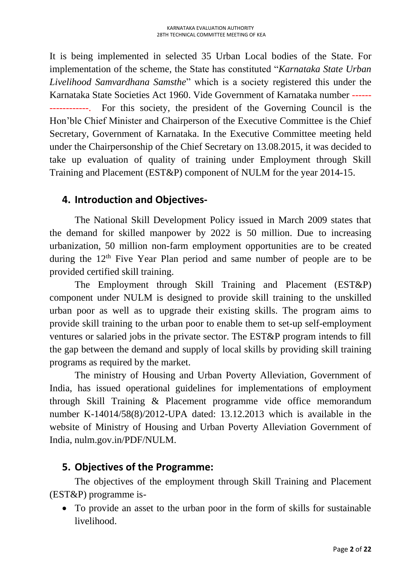It is being implemented in selected 35 Urban Local bodies of the State. For implementation of the scheme, the State has constituted "*Karnataka State Urban Livelihood Samvardhana Samsthe*" which is a society registered this under the Karnataka State Societies Act 1960. Vide Government of Karnataka number ------ For this society, the president of the Governing Council is the Hon'ble Chief Minister and Chairperson of the Executive Committee is the Chief Secretary, Government of Karnataka. In the Executive Committee meeting held under the Chairpersonship of the Chief Secretary on 13.08.2015, it was decided to take up evaluation of quality of training under Employment through Skill Training and Placement (EST&P) component of NULM for the year 2014-15.

## **4. Introduction and Objectives-**

The National Skill Development Policy issued in March 2009 states that the demand for skilled manpower by 2022 is 50 million. Due to increasing urbanization, 50 million non-farm employment opportunities are to be created during the 12<sup>th</sup> Five Year Plan period and same number of people are to be provided certified skill training.

The Employment through Skill Training and Placement (EST&P) component under NULM is designed to provide skill training to the unskilled urban poor as well as to upgrade their existing skills. The program aims to provide skill training to the urban poor to enable them to set-up self-employment ventures or salaried jobs in the private sector. The EST&P program intends to fill the gap between the demand and supply of local skills by providing skill training programs as required by the market.

The ministry of Housing and Urban Poverty Alleviation, Government of India, has issued operational guidelines for implementations of employment through Skill Training & Placement programme vide office memorandum number K-14014/58(8)/2012-UPA dated: 13.12.2013 which is available in the website of Ministry of Housing and Urban Poverty Alleviation Government of India, nulm.gov.in/PDF/NULM.

## **5. Objectives of the Programme:**

The objectives of the employment through Skill Training and Placement (EST&P) programme is-

• To provide an asset to the urban poor in the form of skills for sustainable livelihood.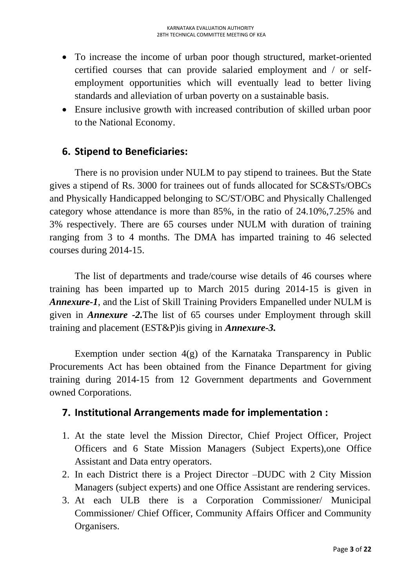- To increase the income of urban poor though structured, market-oriented certified courses that can provide salaried employment and / or selfemployment opportunities which will eventually lead to better living standards and alleviation of urban poverty on a sustainable basis.
- Ensure inclusive growth with increased contribution of skilled urban poor to the National Economy.

## **6. Stipend to Beneficiaries:**

There is no provision under NULM to pay stipend to trainees. But the State gives a stipend of Rs. 3000 for trainees out of funds allocated for SC&STs/OBCs and Physically Handicapped belonging to SC/ST/OBC and Physically Challenged category whose attendance is more than 85%, in the ratio of 24.10%,7.25% and 3% respectively. There are 65 courses under NULM with duration of training ranging from 3 to 4 months. The DMA has imparted training to 46 selected courses during 2014-15.

The list of departments and trade/course wise details of 46 courses where training has been imparted up to March 2015 during 2014-15 is given in *Annexure-1*, and the List of Skill Training Providers Empanelled under NULM is given in *Annexure -2.*The list of 65 courses under Employment through skill training and placement (EST&P)is giving in *Annexure-3.*

Exemption under section 4(g) of the Karnataka Transparency in Public Procurements Act has been obtained from the Finance Department for giving training during 2014-15 from 12 Government departments and Government owned Corporations.

## **7. Institutional Arrangements made for implementation :**

- 1. At the state level the Mission Director, Chief Project Officer, Project Officers and 6 State Mission Managers (Subject Experts),one Office Assistant and Data entry operators.
- 2. In each District there is a Project Director –DUDC with 2 City Mission Managers (subject experts) and one Office Assistant are rendering services.
- 3. At each ULB there is a Corporation Commissioner/ Municipal Commissioner/ Chief Officer, Community Affairs Officer and Community Organisers.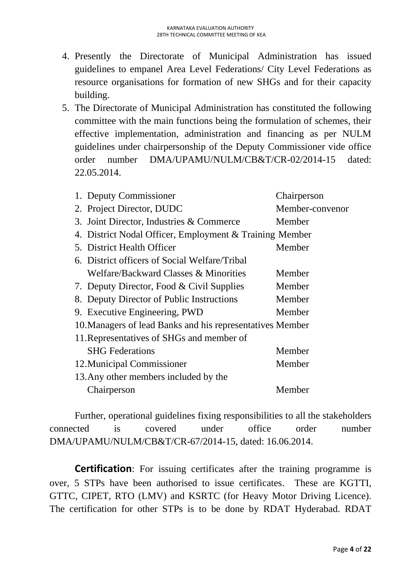- 4. Presently the Directorate of Municipal Administration has issued guidelines to empanel Area Level Federations/ City Level Federations as resource organisations for formation of new SHGs and for their capacity building.
- 5. The Directorate of Municipal Administration has constituted the following committee with the main functions being the formulation of schemes, their effective implementation, administration and financing as per NULM guidelines under chairpersonship of the Deputy Commissioner vide office order number DMA/UPAMU/NULM/CB&T/CR-02/2014-15 dated: 22.05.2014.

| 1. Deputy Commissioner                                    | Chairperson     |
|-----------------------------------------------------------|-----------------|
| 2. Project Director, DUDC                                 | Member-convenor |
| 3. Joint Director, Industries & Commerce                  | Member          |
| 4. District Nodal Officer, Employment & Training Member   |                 |
| 5. District Health Officer                                | Member          |
| 6. District officers of Social Welfare/Tribal             |                 |
| Welfare/Backward Classes & Minorities                     | Member          |
| 7. Deputy Director, Food & Civil Supplies                 | Member          |
| 8. Deputy Director of Public Instructions                 | Member          |
| 9. Executive Engineering, PWD                             | Member          |
| 10. Managers of lead Banks and his representatives Member |                 |
| 11. Representatives of SHGs and member of                 |                 |
| <b>SHG</b> Federations                                    | Member          |
| 12. Municipal Commissioner                                | Member          |
| 13. Any other members included by the                     |                 |
| Chairperson                                               | Member          |

Further, operational guidelines fixing responsibilities to all the stakeholders connected is covered under office order number DMA/UPAMU/NULM/CB&T/CR-67/2014-15, dated: 16.06.2014.

**Certification**: For issuing certificates after the training programme is over, 5 STPs have been authorised to issue certificates. These are KGTTI, GTTC, CIPET, RTO (LMV) and KSRTC (for Heavy Motor Driving Licence). The certification for other STPs is to be done by RDAT Hyderabad. RDAT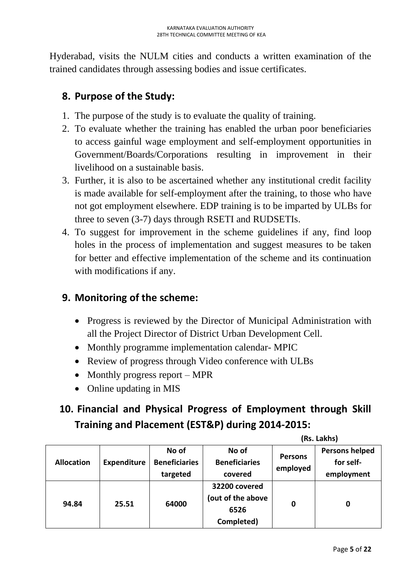Hyderabad, visits the NULM cities and conducts a written examination of the trained candidates through assessing bodies and issue certificates.

# **8. Purpose of the Study:**

- 1. The purpose of the study is to evaluate the quality of training.
- 2. To evaluate whether the training has enabled the urban poor beneficiaries to access gainful wage employment and self-employment opportunities in Government/Boards/Corporations resulting in improvement in their livelihood on a sustainable basis.
- 3. Further, it is also to be ascertained whether any institutional credit facility is made available for self-employment after the training, to those who have not got employment elsewhere. EDP training is to be imparted by ULBs for three to seven (3-7) days through RSETI and RUDSETIs.
- 4. To suggest for improvement in the scheme guidelines if any, find loop holes in the process of implementation and suggest measures to be taken for better and effective implementation of the scheme and its continuation with modifications if any.

# **9. Monitoring of the scheme:**

- Progress is reviewed by the Director of Municipal Administration with all the Project Director of District Urban Development Cell.
- Monthly programme implementation calendar- MPIC
- Review of progress through Video conference with ULBs
- Monthly progress report MPR
- Online updating in MIS

# **10. Financial and Physical Progress of Employment through Skill Training and Placement (EST&P) during 2014-2015:**

|                   |                    | No of                | No of                |                | <b>Persons helped</b> |
|-------------------|--------------------|----------------------|----------------------|----------------|-----------------------|
| <b>Allocation</b> | <b>Expenditure</b> | <b>Beneficiaries</b> | <b>Beneficiaries</b> | <b>Persons</b> | for self-             |
|                   |                    | targeted             | covered              | employed       | employment            |
|                   |                    |                      | 32200 covered        |                |                       |
|                   |                    | 64000                | (out of the above    |                |                       |
| 94.84             | 25.51              |                      | 6526                 | 0              | 0                     |
|                   |                    |                      | Completed)           |                |                       |
|                   |                    |                      |                      |                |                       |

**(Rs. Lakhs)**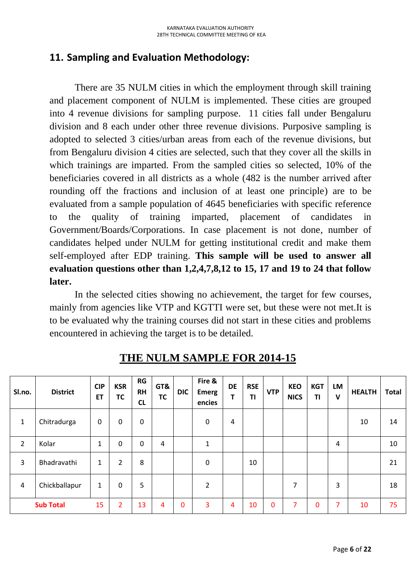## **11. Sampling and Evaluation Methodology:**

There are 35 NULM cities in which the employment through skill training and placement component of NULM is implemented. These cities are grouped into 4 revenue divisions for sampling purpose. 11 cities fall under Bengaluru division and 8 each under other three revenue divisions. Purposive sampling is adopted to selected 3 cities/urban areas from each of the revenue divisions, but from Bengaluru division 4 cities are selected, such that they cover all the skills in which trainings are imparted. From the sampled cities so selected, 10% of the beneficiaries covered in all districts as a whole (482 is the number arrived after rounding off the fractions and inclusion of at least one principle) are to be evaluated from a sample population of 4645 beneficiaries with specific reference to the quality of training imparted, placement of candidates in Government/Boards/Corporations. In case placement is not done, number of candidates helped under NULM for getting institutional credit and make them self-employed after EDP training. **This sample will be used to answer all evaluation questions other than 1,2,4,7,8,12 to 15, 17 and 19 to 24 that follow later.**

In the selected cities showing no achievement, the target for few courses, mainly from agencies like VTP and KGTTI were set, but these were not met.It is to be evaluated why the training courses did not start in these cities and problems encountered in achieving the target is to be detailed.

| Sl.no.         | <b>District</b>  | <b>CIP</b><br><b>ET</b> | <b>KSR</b><br><b>TC</b> | <b>RG</b><br><b>RH</b><br><b>CL</b> | GT&<br><b>TC</b> | <b>DIC</b>   | Fire &<br><b>Emerg</b><br>encies | <b>DE</b><br>T | <b>RSE</b><br><b>TI</b> | <b>VTP</b>   | <b>KEO</b><br><b>NICS</b> | <b>KGT</b><br>TI | <b>LM</b><br>$\mathbf v$ | <b>HEALTH</b> | <b>Total</b> |
|----------------|------------------|-------------------------|-------------------------|-------------------------------------|------------------|--------------|----------------------------------|----------------|-------------------------|--------------|---------------------------|------------------|--------------------------|---------------|--------------|
| $\mathbf{1}$   | Chitradurga      | 0                       | 0                       | 0                                   |                  |              | 0                                | $\overline{a}$ |                         |              |                           |                  |                          | 10            | 14           |
| $\overline{2}$ | Kolar            | $\mathbf{1}$            | 0                       | 0                                   | 4                |              | $\mathbf{1}$                     |                |                         |              |                           |                  | 4                        |               | 10           |
| 3              | Bhadravathi      | 1                       | $\overline{2}$          | 8                                   |                  |              | $\mathbf 0$                      |                | 10                      |              |                           |                  |                          |               | 21           |
| 4              | Chickballapur    | 1                       | 0                       | 5                                   |                  |              | $\overline{2}$                   |                |                         |              | 7                         |                  | 3                        |               | 18           |
|                | <b>Sub Total</b> | 15                      | 2                       | 13                                  | 4                | $\mathbf{0}$ | 3                                | 4              | 10                      | $\mathbf{0}$ | 7                         | 0                | 7                        | 10            | 75           |

**THE NULM SAMPLE FOR 2014-15**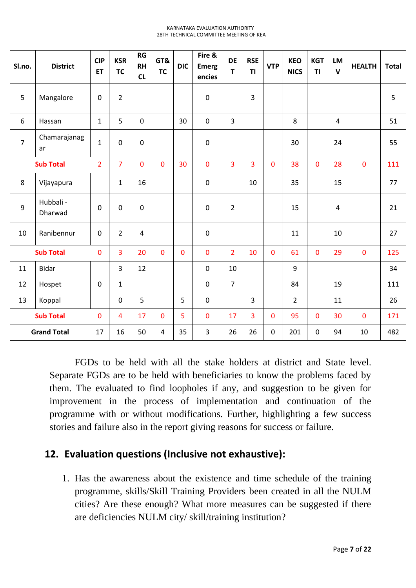| Sl.no.         | <b>District</b>      | <b>CIP</b><br><b>ET</b> | <b>KSR</b><br><b>TC</b> | <b>RG</b><br><b>RH</b><br>CL | GT&<br><b>TC</b> | <b>DIC</b>  | Fire &<br><b>Emerg</b><br>encies | <b>DE</b><br>T | <b>RSE</b><br><b>TI</b> | <b>VTP</b>     | <b>KEO</b><br><b>NICS</b> | <b>KGT</b><br><b>TI</b> | <b>LM</b><br>$\mathbf{V}$ | <b>HEALTH</b> | <b>Total</b> |
|----------------|----------------------|-------------------------|-------------------------|------------------------------|------------------|-------------|----------------------------------|----------------|-------------------------|----------------|---------------------------|-------------------------|---------------------------|---------------|--------------|
| 5              | Mangalore            | 0                       | $\overline{2}$          |                              |                  |             | $\pmb{0}$                        |                | 3                       |                |                           |                         |                           |               | 5            |
| 6              | Hassan               | $\mathbf{1}$            | 5                       | $\mathbf 0$                  |                  | 30          | $\pmb{0}$                        | $\overline{3}$ |                         |                | 8                         |                         | $\overline{4}$            |               | 51           |
| $\overline{7}$ | Chamarajanag<br>ar   | $\mathbf{1}$            | $\mathbf 0$             | 0                            |                  |             | $\pmb{0}$                        |                |                         |                | 30                        |                         | 24                        |               | 55           |
|                | <b>Sub Total</b>     | $\overline{2}$          | $\overline{7}$          | 0                            | $\overline{0}$   | 30          | 0                                | 3              | 3                       | $\overline{0}$ | 38                        | 0                       | 28                        | $\mathbf 0$   | 111          |
| 8              | Vijayapura           |                         | $\mathbf{1}$            | 16                           |                  |             | $\pmb{0}$                        |                | 10                      |                | 35                        |                         | 15                        |               | 77           |
| 9              | Hubbali -<br>Dharwad | 0                       | $\mathbf 0$             | $\mathbf 0$                  |                  |             | $\boldsymbol{0}$                 | $\overline{2}$ |                         |                | 15                        |                         | $\overline{4}$            |               | 21           |
| 10             | Ranibennur           | $\mathbf 0$             | $\overline{2}$          | 4                            |                  |             | $\boldsymbol{0}$                 |                |                         |                | 11                        |                         | 10                        |               | 27           |
|                | <b>Sub Total</b>     | 0                       | $\overline{3}$          | 20                           | $\mathbf{0}$     | $\mathbf 0$ | $\mathbf 0$                      | $\overline{2}$ | 10                      | $\mathbf 0$    | 61                        | 0                       | 29                        | $\mathbf 0$   | 125          |
| 11             | <b>Bidar</b>         |                         | 3                       | 12                           |                  |             | $\mathbf 0$                      | 10             |                         |                | 9                         |                         |                           |               | 34           |
| 12             | Hospet               | $\mathbf 0$             | $\mathbf{1}$            |                              |                  |             | $\mathbf 0$                      | $\overline{7}$ |                         |                | 84                        |                         | 19                        |               | 111          |
| 13             | Koppal               |                         | $\mathbf 0$             | 5                            |                  | 5           | $\mathbf 0$                      |                | 3                       |                | $\overline{2}$            |                         | 11                        |               | 26           |
|                | <b>Sub Total</b>     | 0                       | 4                       | 17                           | $\overline{0}$   | 5           | 0                                | 17             | 3                       | $\mathbf{0}$   | 95                        | 0                       | 30                        | $\mathbf 0$   | 171          |
|                | <b>Grand Total</b>   | 17                      | 16                      | 50                           | $\overline{4}$   | 35          | 3                                | 26             | 26                      | $\pmb{0}$      | 201                       | $\mathsf 0$             | 94                        | 10            | 482          |

FGDs to be held with all the stake holders at district and State level. Separate FGDs are to be held with beneficiaries to know the problems faced by them. The evaluated to find loopholes if any, and suggestion to be given for improvement in the process of implementation and continuation of the programme with or without modifications. Further, highlighting a few success stories and failure also in the report giving reasons for success or failure.

## **12. Evaluation questions (Inclusive not exhaustive):**

1. Has the awareness about the existence and time schedule of the training programme, skills/Skill Training Providers been created in all the NULM cities? Are these enough? What more measures can be suggested if there are deficiencies NULM city/ skill/training institution?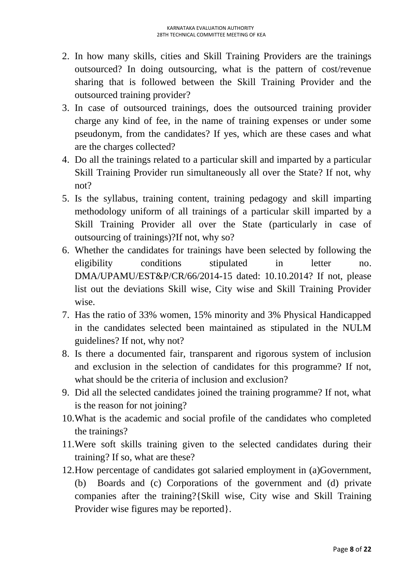- 2. In how many skills, cities and Skill Training Providers are the trainings outsourced? In doing outsourcing, what is the pattern of cost/revenue sharing that is followed between the Skill Training Provider and the outsourced training provider?
- 3. In case of outsourced trainings, does the outsourced training provider charge any kind of fee, in the name of training expenses or under some pseudonym, from the candidates? If yes, which are these cases and what are the charges collected?
- 4. Do all the trainings related to a particular skill and imparted by a particular Skill Training Provider run simultaneously all over the State? If not, why not?
- 5. Is the syllabus, training content, training pedagogy and skill imparting methodology uniform of all trainings of a particular skill imparted by a Skill Training Provider all over the State (particularly in case of outsourcing of trainings)?If not, why so?
- 6. Whether the candidates for trainings have been selected by following the eligibility conditions stipulated in letter no. DMA/UPAMU/EST&P/CR/66/2014-15 dated: 10.10.2014? If not, please list out the deviations Skill wise, City wise and Skill Training Provider wise.
- 7. Has the ratio of 33% women, 15% minority and 3% Physical Handicapped in the candidates selected been maintained as stipulated in the NULM guidelines? If not, why not?
- 8. Is there a documented fair, transparent and rigorous system of inclusion and exclusion in the selection of candidates for this programme? If not, what should be the criteria of inclusion and exclusion?
- 9. Did all the selected candidates joined the training programme? If not, what is the reason for not joining?
- 10.What is the academic and social profile of the candidates who completed the trainings?
- 11.Were soft skills training given to the selected candidates during their training? If so, what are these?
- 12.How percentage of candidates got salaried employment in (a)Government, (b) Boards and (c) Corporations of the government and (d) private companies after the training?{Skill wise, City wise and Skill Training Provider wise figures may be reported}.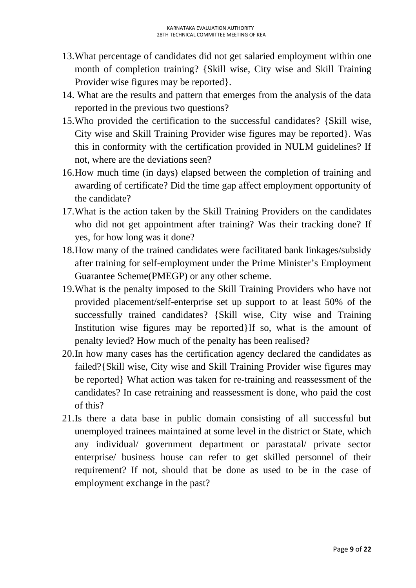- 13.What percentage of candidates did not get salaried employment within one month of completion training? {Skill wise, City wise and Skill Training Provider wise figures may be reported}.
- 14. What are the results and pattern that emerges from the analysis of the data reported in the previous two questions?
- 15.Who provided the certification to the successful candidates? {Skill wise, City wise and Skill Training Provider wise figures may be reported}. Was this in conformity with the certification provided in NULM guidelines? If not, where are the deviations seen?
- 16.How much time (in days) elapsed between the completion of training and awarding of certificate? Did the time gap affect employment opportunity of the candidate?
- 17.What is the action taken by the Skill Training Providers on the candidates who did not get appointment after training? Was their tracking done? If yes, for how long was it done?
- 18.How many of the trained candidates were facilitated bank linkages/subsidy after training for self-employment under the Prime Minister's Employment Guarantee Scheme(PMEGP) or any other scheme.
- 19.What is the penalty imposed to the Skill Training Providers who have not provided placement/self-enterprise set up support to at least 50% of the successfully trained candidates? {Skill wise, City wise and Training Institution wise figures may be reported}If so, what is the amount of penalty levied? How much of the penalty has been realised?
- 20.In how many cases has the certification agency declared the candidates as failed?{Skill wise, City wise and Skill Training Provider wise figures may be reported} What action was taken for re-training and reassessment of the candidates? In case retraining and reassessment is done, who paid the cost of this?
- 21.Is there a data base in public domain consisting of all successful but unemployed trainees maintained at some level in the district or State, which any individual/ government department or parastatal/ private sector enterprise/ business house can refer to get skilled personnel of their requirement? If not, should that be done as used to be in the case of employment exchange in the past?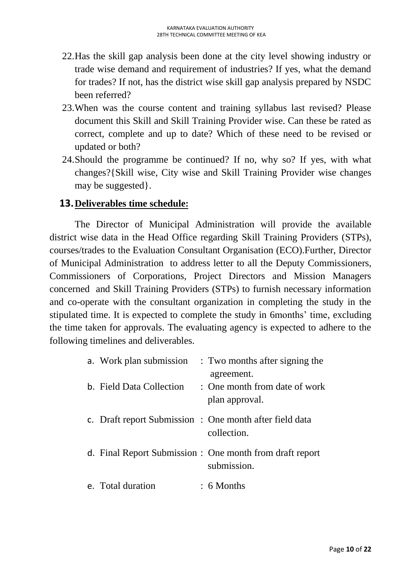- 22.Has the skill gap analysis been done at the city level showing industry or trade wise demand and requirement of industries? If yes, what the demand for trades? If not, has the district wise skill gap analysis prepared by NSDC been referred?
- 23.When was the course content and training syllabus last revised? Please document this Skill and Skill Training Provider wise. Can these be rated as correct, complete and up to date? Which of these need to be revised or updated or both?
- 24.Should the programme be continued? If no, why so? If yes, with what changes?{Skill wise, City wise and Skill Training Provider wise changes may be suggested}.

### **13.Deliverables time schedule:**

The Director of Municipal Administration will provide the available district wise data in the Head Office regarding Skill Training Providers (STPs), courses/trades to the Evaluation Consultant Organisation (ECO).Further, Director of Municipal Administration to address letter to all the Deputy Commissioners, Commissioners of Corporations, Project Directors and Mission Managers concerned and Skill Training Providers (STPs) to furnish necessary information and co-operate with the consultant organization in completing the study in the stipulated time. It is expected to complete the study in 6months' time, excluding the time taken for approvals. The evaluating agency is expected to adhere to the following timelines and deliverables.

| a. Work plan submission  | : Two months after signing the<br>agreement.                           |
|--------------------------|------------------------------------------------------------------------|
| b. Field Data Collection | : One month from date of work<br>plan approval.                        |
|                          | c. Draft report Submission : One month after field data<br>collection. |
|                          | d. Final Report Submission: One month from draft report<br>submission. |
| e. Total duration        | $: 6$ Months                                                           |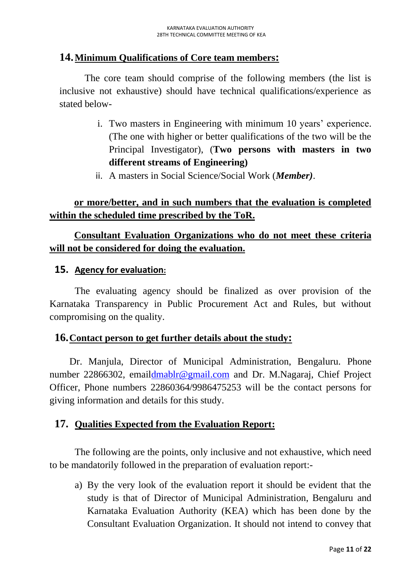## **14.Minimum Qualifications of Core team members:**

The core team should comprise of the following members (the list is inclusive not exhaustive) should have technical qualifications/experience as stated below-

- i. Two masters in Engineering with minimum 10 years' experience. (The one with higher or better qualifications of the two will be the Principal Investigator), (**Two persons with masters in two different streams of Engineering)**
- ii. A masters in Social Science/Social Work (*Member)*.

## **or more/better, and in such numbers that the evaluation is completed within the scheduled time prescribed by the ToR.**

## **Consultant Evaluation Organizations who do not meet these criteria will not be considered for doing the evaluation.**

### **15. Agency for evaluation:**

The evaluating agency should be finalized as over provision of the Karnataka Transparency in Public Procurement Act and Rules, but without compromising on the quality.

### **16.Contact person to get further details about the study:**

Dr. Manjula, Director of Municipal Administration, Bengaluru. Phone number 22866302, emai[ldmablr@gmail.com](mailto:dmablr@gmail.com) and Dr. M.Nagaraj, Chief Project Officer, Phone numbers 22860364/9986475253 will be the contact persons for giving information and details for this study.

## **17. Qualities Expected from the Evaluation Report:**

The following are the points, only inclusive and not exhaustive, which need to be mandatorily followed in the preparation of evaluation report:-

a) By the very look of the evaluation report it should be evident that the study is that of Director of Municipal Administration, Bengaluru and Karnataka Evaluation Authority (KEA) which has been done by the Consultant Evaluation Organization. It should not intend to convey that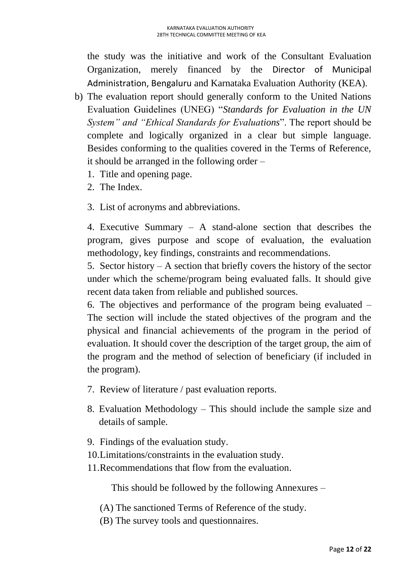the study was the initiative and work of the Consultant Evaluation Organization, merely financed by the Director of Municipal Administration, Bengaluru and Karnataka Evaluation Authority (KEA).

- b) The evaluation report should generally conform to the United Nations Evaluation Guidelines (UNEG) "*Standards for Evaluation in the UN System" and "Ethical Standards for Evaluations*". The report should be complete and logically organized in a clear but simple language. Besides conforming to the qualities covered in the Terms of Reference, it should be arranged in the following order –
	- 1. Title and opening page.
	- 2. The Index.
	- 3. List of acronyms and abbreviations.

4. Executive Summary – A stand-alone section that describes the program, gives purpose and scope of evaluation, the evaluation methodology, key findings, constraints and recommendations.

5. Sector history – A section that briefly covers the history of the sector under which the scheme/program being evaluated falls. It should give recent data taken from reliable and published sources.

6. The objectives and performance of the program being evaluated – The section will include the stated objectives of the program and the physical and financial achievements of the program in the period of evaluation. It should cover the description of the target group, the aim of the program and the method of selection of beneficiary (if included in the program).

- 7. Review of literature / past evaluation reports.
- 8. Evaluation Methodology This should include the sample size and details of sample.
- 9. Findings of the evaluation study.
- 10.Limitations/constraints in the evaluation study.
- 11.Recommendations that flow from the evaluation.

This should be followed by the following Annexures –

(A) The sanctioned Terms of Reference of the study.

(B) The survey tools and questionnaires.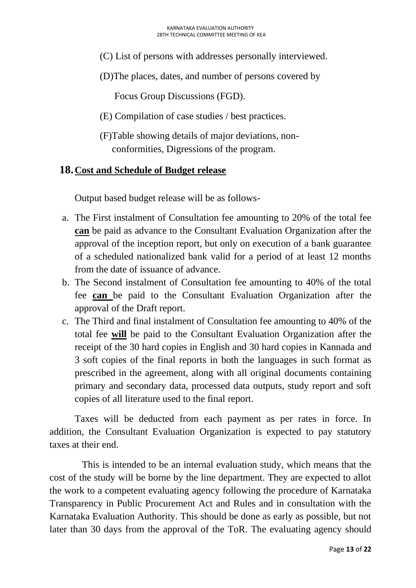- (C) List of persons with addresses personally interviewed.
- (D)The places, dates, and number of persons covered by

Focus Group Discussions (FGD).

- (E) Compilation of case studies / best practices.
- (F)Table showing details of major deviations, non conformities, Digressions of the program.

## **18.Cost and Schedule of Budget release**

Output based budget release will be as follows-

- a. The First instalment of Consultation fee amounting to 20% of the total fee **can** be paid as advance to the Consultant Evaluation Organization after the approval of the inception report, but only on execution of a bank guarantee of a scheduled nationalized bank valid for a period of at least 12 months from the date of issuance of advance.
- b. The Second instalment of Consultation fee amounting to 40% of the total fee **can** be paid to the Consultant Evaluation Organization after the approval of the Draft report.
- c. The Third and final instalment of Consultation fee amounting to 40% of the total fee **will** be paid to the Consultant Evaluation Organization after the receipt of the 30 hard copies in English and 30 hard copies in Kannada and 3 soft copies of the final reports in both the languages in such format as prescribed in the agreement, along with all original documents containing primary and secondary data, processed data outputs, study report and soft copies of all literature used to the final report.

Taxes will be deducted from each payment as per rates in force. In addition, the Consultant Evaluation Organization is expected to pay statutory taxes at their end.

 This is intended to be an internal evaluation study, which means that the cost of the study will be borne by the line department. They are expected to allot the work to a competent evaluating agency following the procedure of Karnataka Transparency in Public Procurement Act and Rules and in consultation with the Karnataka Evaluation Authority. This should be done as early as possible, but not later than 30 days from the approval of the ToR. The evaluating agency should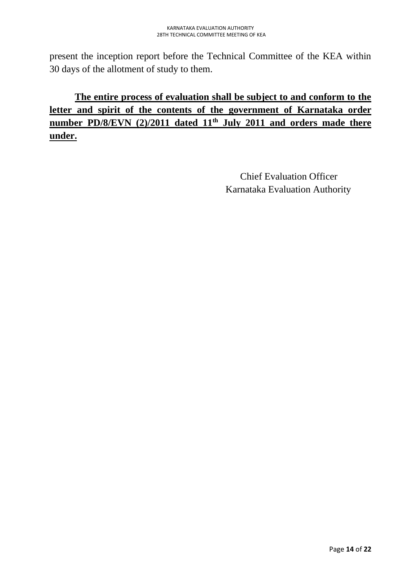present the inception report before the Technical Committee of the KEA within 30 days of the allotment of study to them.

# **The entire process of evaluation shall be subject to and conform to the letter and spirit of the contents of the government of Karnataka order number PD/8/EVN (2)/2011 dated 11th July 2011 and orders made there under.**

 Chief Evaluation Officer Karnataka Evaluation Authority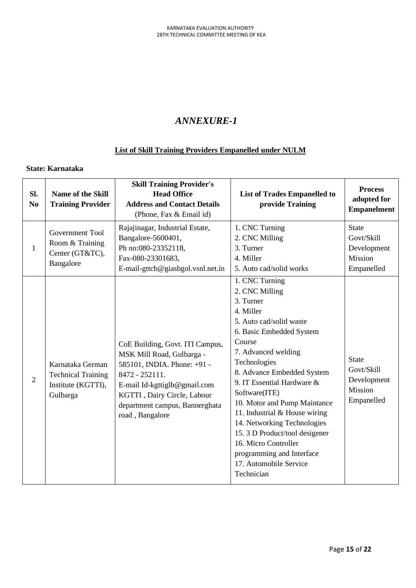## *ANNEXURE-1*

### **List of Skill Training Providers Empanelled under NULM**

#### **State: Karnataka**

| Sl.<br>N <sub>o</sub> | Name of the Skill<br><b>Training Provider</b>                                   | <b>Skill Training Provider's</b><br><b>Head Office</b><br><b>Address and Contact Details</b><br>(Phone, Fax & Email id)                                                                                                           | <b>List of Trades Empanelled to</b><br>provide Training                                                                                                                                                                                                                                                                                                                                                                                                                       | <b>Process</b><br>adopted for<br><b>Empanelment</b>                |
|-----------------------|---------------------------------------------------------------------------------|-----------------------------------------------------------------------------------------------------------------------------------------------------------------------------------------------------------------------------------|-------------------------------------------------------------------------------------------------------------------------------------------------------------------------------------------------------------------------------------------------------------------------------------------------------------------------------------------------------------------------------------------------------------------------------------------------------------------------------|--------------------------------------------------------------------|
| $\mathbf{1}$          | Government Tool<br>Room & Training<br>Center (GT&TC),<br>Bangalore              | Rajajinagar, Industrial Estate,<br>Bangalore-5600401,<br>Ph no:080-23352118,<br>Fax-080-23301683,<br>E-mail-gttcb@giasbgol.vsnl.net.in                                                                                            | 1. CNC Turning<br>2. CNC Milling<br>3. Turner<br>4. Miller<br>5. Auto cad/solid works                                                                                                                                                                                                                                                                                                                                                                                         | <b>State</b><br>Govt/Skill<br>Development<br>Mission<br>Empanelled |
| $\overline{2}$        | Karnataka German<br><b>Technical Training</b><br>Institute (KGTTI),<br>Gulbarga | CoE Building, Govt. ITI Campus,<br>MSK Mill Road, Gulbarga -<br>585101, INDIA. Phone: +91 -<br>8472 - 252111.<br>E-mail Id-kgttiglb@gmail.com<br>KGTTI, Dairy Circle, Labour<br>department campus, Bannerghata<br>road, Bangalore | 1. CNC Turning<br>2. CNC Milling<br>3. Turner<br>4. Miller<br>5. Auto cad/solid waste<br>6. Basic Embedded System<br>Course<br>7. Advanced welding<br>Technologies<br>8. Advance Embedded System<br>9. IT Essential Hardware &<br>Software(ITE)<br>10. Motor and Pump Maintance<br>11. Industrial & House wiring<br>14. Networking Technologies<br>15.3 D Product/tool desigener<br>16. Micro Controller<br>programming and Interface<br>17. Automobile Service<br>Technician | <b>State</b><br>Govt/Skill<br>Development<br>Mission<br>Empanelled |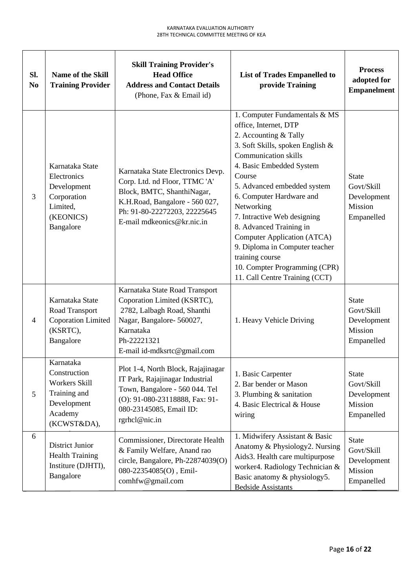| Sl.<br>N <sub>0</sub> | <b>Name of the Skill</b><br><b>Training Provider</b>                                                | <b>Skill Training Provider's</b><br><b>Head Office</b><br><b>Address and Contact Details</b><br>(Phone, Fax & Email id)                                                                          | <b>List of Trades Empanelled to</b><br>provide Training                                                                                                                                                                                                                                                                                                                                                                                                                            | <b>Process</b><br>adopted for<br><b>Empanelment</b>                |
|-----------------------|-----------------------------------------------------------------------------------------------------|--------------------------------------------------------------------------------------------------------------------------------------------------------------------------------------------------|------------------------------------------------------------------------------------------------------------------------------------------------------------------------------------------------------------------------------------------------------------------------------------------------------------------------------------------------------------------------------------------------------------------------------------------------------------------------------------|--------------------------------------------------------------------|
| 3                     | Karnataka State<br>Electronics<br>Development<br>Corporation<br>Limited,<br>(KEONICS)<br>Bangalore  | Karnataka State Electronics Devp.<br>Corp. Ltd. nd Floor, TTMC 'A'<br>Block, BMTC, ShanthiNagar,<br>K.H.Road, Bangalore - 560 027,<br>Ph: 91-80-22272203, 22225645<br>E-mail mdkeonics@kr.nic.in | 1. Computer Fundamentals & MS<br>office, Internet, DTP<br>2. Accounting & Tally<br>3. Soft Skills, spoken English &<br><b>Communication skills</b><br>4. Basic Embedded System<br>Course<br>5. Advanced embedded system<br>6. Computer Hardware and<br>Networking<br>7. Intractive Web designing<br>8. Advanced Training in<br>Computer Application (ATCA)<br>9. Diploma in Computer teacher<br>training course<br>10. Compter Programming (CPR)<br>11. Call Centre Training (CCT) | <b>State</b><br>Govt/Skill<br>Development<br>Mission<br>Empanelled |
| $\overline{4}$        | Karnataka State<br>Road Transport<br><b>Coporation Limited</b><br>(KSRTC),<br>Bangalore             | Karnataka State Road Transport<br>Coporation Limited (KSRTC),<br>2782, Lalbagh Road, Shanthi<br>Nagar, Bangalore- 560027,<br>Karnataka<br>Ph-22221321<br>E-mail id-mdksrtc@gmail.com             | 1. Heavy Vehicle Driving                                                                                                                                                                                                                                                                                                                                                                                                                                                           | <b>State</b><br>Govt/Skill<br>Development<br>Mission<br>Empanelled |
| 5                     | Karnataka<br>Construction<br>Workers Skill<br>Training and<br>Development<br>Academy<br>(KCWST&DA), | Plot 1-4, North Block, Rajajinagar<br>IT Park, Rajajinagar Industrial<br>Town, Bangalore - 560 044. Tel<br>(O): 91-080-23118888, Fax: 91-<br>080-23145085, Email ID:<br>rgrhcl@nic.in            | 1. Basic Carpenter<br>2. Bar bender or Mason<br>3. Plumbing $&$ sanitation<br>4. Basic Electrical & House<br>wiring                                                                                                                                                                                                                                                                                                                                                                | <b>State</b><br>Govt/Skill<br>Development<br>Mission<br>Empanelled |
| 6                     | District Junior<br><b>Health Training</b><br>Institure (DJHTI),<br>Bangalore                        | Commissioner, Directorate Health<br>& Family Welfare, Anand rao<br>circle, Bangalore, Ph-22874039(O)<br>080-22354085(O), Emil-<br>comhfw@gmail.com                                               | 1. Midwifery Assistant & Basic<br>Anatomy & Physiology2. Nursing<br>Aids3. Health care multipurpose<br>worker4. Radiology Technician &<br>Basic anatomy & physiology5.<br><b>Bedside Assistants</b>                                                                                                                                                                                                                                                                                | <b>State</b><br>Govt/Skill<br>Development<br>Mission<br>Empanelled |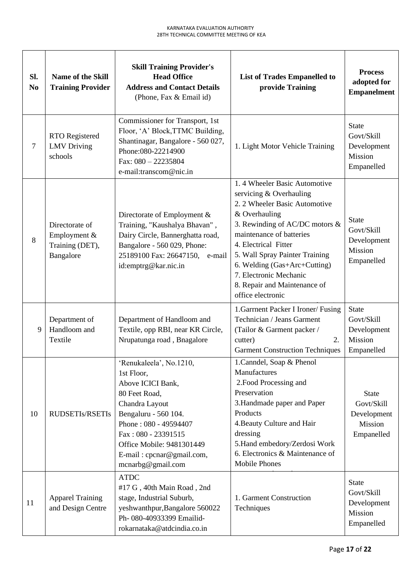| SI.<br>N <sub>0</sub> | <b>Name of the Skill</b><br><b>Training Provider</b>           | <b>Skill Training Provider's</b><br><b>Head Office</b><br><b>Address and Contact Details</b><br>(Phone, Fax & Email id)                                                                                                                              | <b>List of Trades Empanelled to</b><br>provide Training                                                                                                                                                                                                                                                                                          | <b>Process</b><br>adopted for<br><b>Empanelment</b>                |
|-----------------------|----------------------------------------------------------------|------------------------------------------------------------------------------------------------------------------------------------------------------------------------------------------------------------------------------------------------------|--------------------------------------------------------------------------------------------------------------------------------------------------------------------------------------------------------------------------------------------------------------------------------------------------------------------------------------------------|--------------------------------------------------------------------|
| $\tau$                | RTO Registered<br><b>LMV</b> Driving<br>schools                | Commissioner for Transport, 1st<br>Floor, 'A' Block, TTMC Building,<br>Shantinagar, Bangalore - 560 027,<br>Phone: 080-22214900<br>Fax: $080 - 22235804$<br>e-mail:transcom@nic.in                                                                   | 1. Light Motor Vehicle Training                                                                                                                                                                                                                                                                                                                  | <b>State</b><br>Govt/Skill<br>Development<br>Mission<br>Empanelled |
| 8                     | Directorate of<br>Employment &<br>Training (DET),<br>Bangalore | Directorate of Employment &<br>Training, "Kaushalya Bhavan",<br>Dairy Circle, Bannerghatta road,<br>Bangalore - 560 029, Phone:<br>25189100 Fax: 26647150,<br>e-mail<br>id:emptrg@kar.nic.in                                                         | 1.4 Wheeler Basic Automotive<br>servicing & Overhauling<br>2. 2 Wheeler Basic Automotive<br>& Overhauling<br>3. Rewinding of AC/DC motors &<br>maintenance of batteries<br>4. Electrical Fitter<br>5. Wall Spray Painter Training<br>6. Welding (Gas+Arc+Cutting)<br>7. Electronic Mechanic<br>8. Repair and Maintenance of<br>office electronic | <b>State</b><br>Govt/Skill<br>Development<br>Mission<br>Empanelled |
| 9                     | Department of<br>Handloom and<br>Textile                       | Department of Handloom and<br>Textile, opp RBI, near KR Circle,<br>Nrupatunga road, Bnagalore                                                                                                                                                        | 1. Garrnent Packer I Ironer/ Fusing<br>Technician / Jeans Garment<br>(Tailor & Garment packer /<br>2.<br>cutter)<br><b>Garment Construction Techniques</b>                                                                                                                                                                                       | <b>State</b><br>Govt/Skill<br>Development<br>Mission<br>Empanelled |
| 10                    | <b>RUDSETIs/RSETIs</b>                                         | 'Renukaleela', No.1210,<br>1st Floor,<br>Above ICICI Bank,<br>80 Feet Road,<br>Chandra Layout<br>Bengaluru - 560 104.<br>Phone: 080 - 49594407<br>Fax: 080 - 23391515<br>Office Mobile: 9481301449<br>E-mail: cpcnar@gmail.com,<br>mcnarbg@gmail.com | 1. Canndel, Soap & Phenol<br>Manufactures<br>2. Food Processing and<br>Preservation<br>3. Handmade paper and Paper<br>Products<br>4. Beauty Culture and Hair<br>dressing<br>5.Hand embedory/Zerdosi Work<br>6. Electronics & Maintenance of<br><b>Mobile Phones</b>                                                                              | <b>State</b><br>Govt/Skill<br>Development<br>Mission<br>Empanelled |
| 11                    | <b>Apparel Training</b><br>and Design Centre                   | <b>ATDC</b><br>#17 G, 40th Main Road, 2nd<br>stage, Industrial Suburb,<br>yeshwanthpur, Bangalore 560022<br>Ph- 080-40933399 Emailid-<br>rokarnataka@atdcindia.co.in                                                                                 | 1. Garment Construction<br>Techniques                                                                                                                                                                                                                                                                                                            | <b>State</b><br>Govt/Skill<br>Development<br>Mission<br>Empanelled |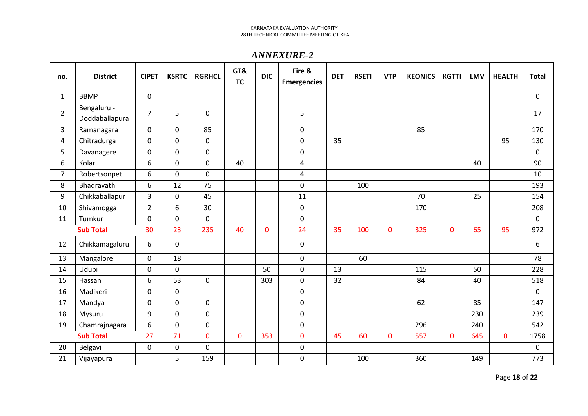### *ANNEXURE-2*

| no.            | <b>District</b>               | <b>CIPET</b>   | <b>KSRTC</b> | <b>RGRHCL</b> | GT&<br><b>TC</b> | <b>DIC</b>  | Fire &<br><b>Emergencies</b> | <b>DET</b> | <b>RSETI</b> | <b>VTP</b>   | <b>KEONICS</b> | <b>KGTTI</b> | <b>LMV</b> | <b>HEALTH</b>  | <b>Total</b> |
|----------------|-------------------------------|----------------|--------------|---------------|------------------|-------------|------------------------------|------------|--------------|--------------|----------------|--------------|------------|----------------|--------------|
| $\mathbf{1}$   | <b>BBMP</b>                   | 0              |              |               |                  |             |                              |            |              |              |                |              |            |                | 0            |
| $\overline{2}$ | Bengaluru -<br>Doddaballapura | $\overline{7}$ | 5            | 0             |                  |             | 5                            |            |              |              |                |              |            |                | 17           |
| 3              | Ramanagara                    | $\mathbf 0$    | $\mathbf 0$  | 85            |                  |             | 0                            |            |              |              | 85             |              |            |                | 170          |
| 4              | Chitradurga                   | $\pmb{0}$      | $\mathbf 0$  | 0             |                  |             | 0                            | 35         |              |              |                |              |            | 95             | 130          |
| 5              | Davanagere                    | $\mathbf 0$    | $\mathbf 0$  | 0             |                  |             | 0                            |            |              |              |                |              |            |                | $\mathbf 0$  |
| 6              | Kolar                         | 6              | $\mathbf 0$  | 0             | 40               |             | 4                            |            |              |              |                |              | 40         |                | 90           |
| $\overline{7}$ | Robertsonpet                  | 6              | $\mathbf 0$  | 0             |                  |             | 4                            |            |              |              |                |              |            |                | 10           |
| 8              | Bhadravathi                   | 6              | 12           | 75            |                  |             | 0                            |            | 100          |              |                |              |            |                | 193          |
| 9              | Chikkaballapur                | $\overline{3}$ | $\mathbf 0$  | 45            |                  |             | 11                           |            |              |              | 70             |              | 25         |                | 154          |
| 10             | Shivamogga                    | $\overline{2}$ | 6            | 30            |                  |             | $\mathbf 0$                  |            |              |              | 170            |              |            |                | 208          |
| 11             | Tumkur                        | $\mathbf 0$    | $\mathbf 0$  | $\mathbf 0$   |                  |             | $\mathbf 0$                  |            |              |              |                |              |            |                | $\mathbf 0$  |
|                | <b>Sub Total</b>              | 30             | 23           | 235           | 40               | $\mathbf 0$ | 24                           | 35         | 100          | 0            | 325            | $\mathbf 0$  | 65         | 95             | 972          |
| 12             | Chikkamagaluru                | 6              | $\mathbf 0$  |               |                  |             | 0                            |            |              |              |                |              |            |                | 6            |
| 13             | Mangalore                     | $\mathsf 0$    | 18           |               |                  |             | 0                            |            | 60           |              |                |              |            |                | 78           |
| 14             | Udupi                         | $\mathbf 0$    | $\mathbf 0$  |               |                  | 50          | $\mathbf 0$                  | 13         |              |              | 115            |              | 50         |                | 228          |
| 15             | Hassan                        | 6              | 53           | $\mathbf 0$   |                  | 303         | $\mathbf 0$                  | 32         |              |              | 84             |              | 40         |                | 518          |
| 16             | Madikeri                      | $\mathbf 0$    | $\mathbf 0$  |               |                  |             | 0                            |            |              |              |                |              |            |                | $\mathbf 0$  |
| 17             | Mandya                        | 0              | $\mathbf 0$  | $\mathbf 0$   |                  |             | 0                            |            |              |              | 62             |              | 85         |                | 147          |
| 18             | Mysuru                        | 9              | $\mathbf 0$  | $\pmb{0}$     |                  |             | 0                            |            |              |              |                |              | 230        |                | 239          |
| 19             | Chamrajnagara                 | 6              | $\mathbf 0$  | $\mathbf 0$   |                  |             | 0                            |            |              |              | 296            |              | 240        |                | 542          |
|                | <b>Sub Total</b>              | 27             | 71           | $\mathbf{0}$  | $\mathbf{0}$     | 353         | $\mathbf{0}$                 | 45         | 60           | $\mathbf{0}$ | 557            | $\mathbf 0$  | 645        | $\overline{0}$ | 1758         |
| 20             | Belgavi                       | $\mathbf 0$    | $\mathbf 0$  | 0             |                  |             | 0                            |            |              |              |                |              |            |                | $\pmb{0}$    |
| 21             | Vijayapura                    |                | 5            | 159           |                  |             | 0                            |            | 100          |              | 360            |              | 149        |                | 773          |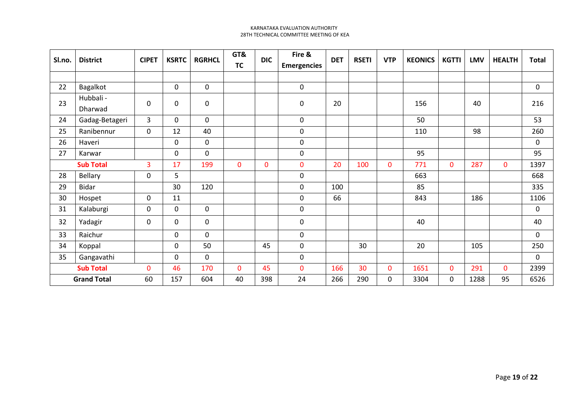|    | Sl.no.<br><b>District</b> | <b>CIPET</b> | <b>KSRTC</b> |             |              | <b>RGRHCL</b> | GT&                | <b>DIC</b> | Fire & | <b>DET</b>  | <b>RSETI</b> | <b>VTP</b>   | <b>KEONICS</b> | <b>KGTTI</b> | <b>LMV</b> | <b>HEALTH</b> | <b>Total</b> |
|----|---------------------------|--------------|--------------|-------------|--------------|---------------|--------------------|------------|--------|-------------|--------------|--------------|----------------|--------------|------------|---------------|--------------|
|    |                           |              |              |             | <b>TC</b>    |               | <b>Emergencies</b> |            |        |             |              |              |                |              |            |               |              |
|    |                           |              |              |             |              |               |                    |            |        |             |              |              |                |              |            |               |              |
| 22 | Bagalkot                  |              | $\mathbf 0$  | $\mathbf 0$ |              |               | $\mathsf 0$        |            |        |             |              |              |                |              | 0          |               |              |
| 23 | Hubbali -<br>Dharwad      | 0            | 0            | $\mathbf 0$ |              |               | $\mathbf 0$        | 20         |        |             | 156          |              | 40             |              | 216        |               |              |
| 24 | Gadag-Betageri            | 3            | $\mathbf 0$  | $\mathbf 0$ |              |               | 0                  |            |        |             | 50           |              |                |              | 53         |               |              |
| 25 | Ranibennur                | 0            | 12           | 40          |              |               | $\mathbf 0$        |            |        |             | 110          |              | 98             |              | 260        |               |              |
| 26 | Haveri                    |              | 0            | $\mathbf 0$ |              |               | $\pmb{0}$          |            |        |             |              |              |                |              | 0          |               |              |
| 27 | Karwar                    |              | $\mathbf 0$  | 0           |              |               | $\pmb{0}$          |            |        |             | 95           |              |                |              | 95         |               |              |
|    | <b>Sub Total</b>          | 3            | 17           | 199         | 0            | 0             | $\mathbf 0$        | 20         | 100    | $\mathbf 0$ | 771          | $\mathbf{0}$ | 287            | $\mathbf{0}$ | 1397       |               |              |
| 28 | <b>Bellary</b>            | 0            | 5            |             |              |               | $\pmb{0}$          |            |        |             | 663          |              |                |              | 668        |               |              |
| 29 | Bidar                     |              | 30           | 120         |              |               | $\pmb{0}$          | 100        |        |             | 85           |              |                |              | 335        |               |              |
| 30 | Hospet                    | 0            | 11           |             |              |               | $\mathbf 0$        | 66         |        |             | 843          |              | 186            |              | 1106       |               |              |
| 31 | Kalaburgi                 | 0            | 0            | $\mathbf 0$ |              |               | $\mathbf 0$        |            |        |             |              |              |                |              | 0          |               |              |
| 32 | Yadagir                   | 0            | 0            | $\mathbf 0$ |              |               | $\mathbf 0$        |            |        |             | 40           |              |                |              | 40         |               |              |
| 33 | Raichur                   |              | $\mathbf{0}$ | $\mathbf 0$ |              |               | $\mathbf 0$        |            |        |             |              |              |                |              | 0          |               |              |
| 34 | Koppal                    |              | $\mathbf 0$  | 50          |              | 45            | $\mathbf 0$        |            | 30     |             | 20           |              | 105            |              | 250        |               |              |
| 35 | Gangavathi                |              | $\mathbf 0$  | $\mathbf 0$ |              |               | $\mathsf 0$        |            |        |             |              |              |                |              | 0          |               |              |
|    | <b>Sub Total</b>          | $\mathbf{0}$ | 46           | 170         | $\mathbf{O}$ | 45            | $\mathbf 0$        | 166        | 30     | $\mathbf 0$ | 1651         | $\mathbf{0}$ | 291            | $\mathbf 0$  | 2399       |               |              |
|    | <b>Grand Total</b>        | 60           | 157          | 604         | 40           | 398           | 24                 | 266        | 290    | $\mathbf 0$ | 3304         | 0            | 1288           | 95           | 6526       |               |              |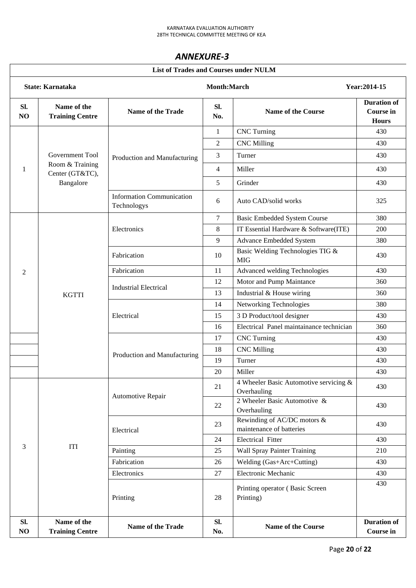### *ANNEXURE-3*

|           |                                       | <b>List of Trades and Courses under NULM</b>    |                  |                                                         |                                                        |
|-----------|---------------------------------------|-------------------------------------------------|------------------|---------------------------------------------------------|--------------------------------------------------------|
|           | <b>State: Karnataka</b>               |                                                 | Month:March      |                                                         | Year: 2014-15                                          |
| Sl.<br>NO | Name of the<br><b>Training Centre</b> | <b>Name of the Trade</b>                        | Sl.<br>No.       | <b>Name of the Course</b>                               | <b>Duration of</b><br><b>Course in</b><br><b>Hours</b> |
|           |                                       |                                                 | $\mathbf{1}$     | <b>CNC</b> Turning                                      | 430                                                    |
|           |                                       |                                                 | $\overline{2}$   | <b>CNC Milling</b>                                      | 430                                                    |
|           | Government Tool                       | Production and Manufacturing                    | 3                | Turner                                                  | 430                                                    |
| 1         | Room & Training<br>Center (GT&TC),    |                                                 | $\overline{4}$   | Miller                                                  | 430                                                    |
|           | Bangalore                             |                                                 | 5                | Grinder                                                 | 430                                                    |
|           |                                       | <b>Information Communication</b><br>Technologys | 6                | Auto CAD/solid works                                    | 325                                                    |
|           |                                       |                                                 | $\boldsymbol{7}$ | <b>Basic Embedded System Course</b>                     | 380                                                    |
|           |                                       | Electronics                                     | $\,8\,$          | IT Essential Hardware & Software(ITE)                   | 200                                                    |
|           |                                       |                                                 | 9                | <b>Advance Embedded System</b>                          | 380                                                    |
|           |                                       | Fabrication                                     | 10               | Basic Welding Technologies TIG &<br><b>MIG</b>          | 430                                                    |
| 2         |                                       | Fabrication                                     |                  | Advanced welding Technologies                           | 430                                                    |
|           |                                       | <b>Industrial Electrical</b>                    | 12               | Motor and Pump Maintance                                | 360                                                    |
|           | <b>KGTTI</b>                          |                                                 | 13               | Industrial & House wiring                               | 360                                                    |
|           |                                       |                                                 | 14               | Networking Technologies                                 | 380                                                    |
|           |                                       | Electrical                                      | 15               | 3 D Product/tool designer                               | 430                                                    |
|           |                                       |                                                 | 16               | Electrical Panel maintainance technician                | 360                                                    |
|           |                                       |                                                 | 17               | <b>CNC</b> Turning                                      | 430                                                    |
|           |                                       | Production and Manufacturing                    | 18               | <b>CNC Milling</b>                                      | 430                                                    |
|           |                                       |                                                 | 19               | Turner                                                  | 430                                                    |
|           |                                       |                                                 | 20               | Miller                                                  | 430                                                    |
|           |                                       | Automotive Repair                               | 21               | 4 Wheeler Basic Automotive servicing &<br>Overhauling   | 430                                                    |
|           |                                       |                                                 | 22               | 2 Wheeler Basic Automotive $\&$<br>Overhauling          | 430                                                    |
|           |                                       | Electrical                                      | 23               | Rewinding of AC/DC motors &<br>maintenance of batteries | 430                                                    |
|           |                                       |                                                 | 24               | <b>Electrical Fitter</b>                                | 430                                                    |
| 3         | <b>ITI</b>                            | Painting                                        | 25               | <b>Wall Spray Painter Training</b>                      | 210                                                    |
|           |                                       | Fabrication                                     | 26               | Welding (Gas+Arc+Cutting)                               | 430                                                    |
|           |                                       | Electronics                                     | 27               | <b>Electronic Mechanic</b>                              | 430                                                    |
|           |                                       | Printing                                        | 28               | Printing operator (Basic Screen<br>Printing)            | 430                                                    |
| Sl.<br>NO | Name of the<br><b>Training Centre</b> | <b>Name of the Trade</b>                        | Sl.<br>No.       | <b>Name of the Course</b>                               | <b>Duration of</b><br><b>Course in</b>                 |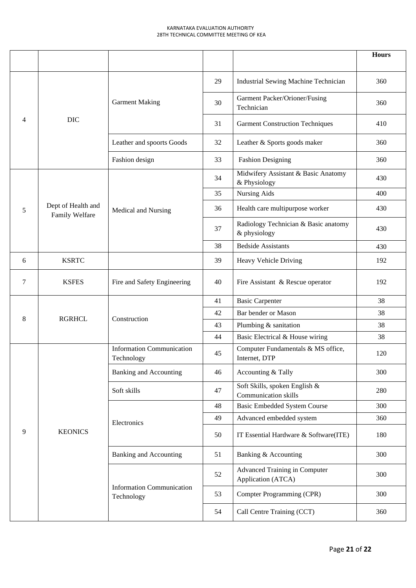|                          |                                      |                                                |                                                      |                                                            | <b>Hours</b> |
|--------------------------|--------------------------------------|------------------------------------------------|------------------------------------------------------|------------------------------------------------------------|--------------|
|                          |                                      |                                                | 29                                                   | Industrial Sewing Machine Technician                       | 360          |
|                          |                                      | <b>Garment Making</b>                          | 30                                                   | Garment Packer/Orioner/Fusing<br>Technician                | 360          |
| $\overline{\mathcal{A}}$ | <b>DIC</b>                           |                                                | 31                                                   | <b>Garment Construction Techniques</b>                     | 410          |
|                          |                                      | Leather and spoorts Goods                      | 32                                                   | Leather & Sports goods maker                               | 360          |
|                          |                                      | Fashion design                                 | 33                                                   | <b>Fashion Designing</b>                                   | 360          |
|                          |                                      |                                                | 34                                                   | Midwifery Assistant & Basic Anatomy<br>& Physiology        | 430          |
|                          |                                      |                                                | 35                                                   | Nursing Aids                                               | 400          |
| 5                        | Dept of Health and<br>Family Welfare | Medical and Nursing                            | 36                                                   | Health care multipurpose worker                            | 430          |
|                          |                                      |                                                | Radiology Technician & Basic anatomy<br>& physiology | 430                                                        |              |
|                          |                                      |                                                | 38                                                   | <b>Bedside Assistants</b>                                  | 430          |
| 6                        | <b>KSRTC</b>                         |                                                | 39                                                   | Heavy Vehicle Driving                                      | 192          |
| 7                        | <b>KSFES</b>                         | Fire and Safety Engineering                    | 40                                                   | Fire Assistant & Rescue operator                           | 192          |
|                          |                                      |                                                | 41                                                   | <b>Basic Carpenter</b>                                     | 38           |
| 8                        | <b>RGRHCL</b>                        | Construction                                   | 42                                                   | Bar bender or Mason                                        | 38           |
|                          |                                      |                                                | 43                                                   | Plumbing & sanitation                                      | 38           |
|                          |                                      |                                                | 44                                                   | Basic Electrical & House wiring                            | 38           |
|                          |                                      | <b>Information Communication</b><br>Technology | 45                                                   | Computer Fundamentals & MS office,<br>Internet, DTP        | 120          |
|                          |                                      | <b>Banking and Accounting</b>                  | 46                                                   | Accounting & Tally                                         | 300          |
|                          |                                      | Soft skills                                    | 47                                                   | Soft Skills, spoken English &<br>Communication skills      | 280          |
|                          |                                      |                                                | 48                                                   | <b>Basic Embedded System Course</b>                        | 300          |
|                          |                                      | Electronics                                    | 49                                                   | Advanced embedded system                                   | 360          |
| 9                        | <b>KEONICS</b>                       |                                                | 50                                                   | IT Essential Hardware & Software(ITE)                      | 180          |
|                          |                                      | <b>Banking and Accounting</b>                  | 51                                                   | Banking & Accounting                                       | 300          |
|                          |                                      |                                                | 52                                                   | <b>Advanced Training in Computer</b><br>Application (ATCA) | 300          |
|                          |                                      | <b>Information Communication</b><br>Technology | 53                                                   | Compter Programming (CPR)                                  | 300          |
|                          |                                      |                                                | 54                                                   | Call Centre Training (CCT)                                 | 360          |